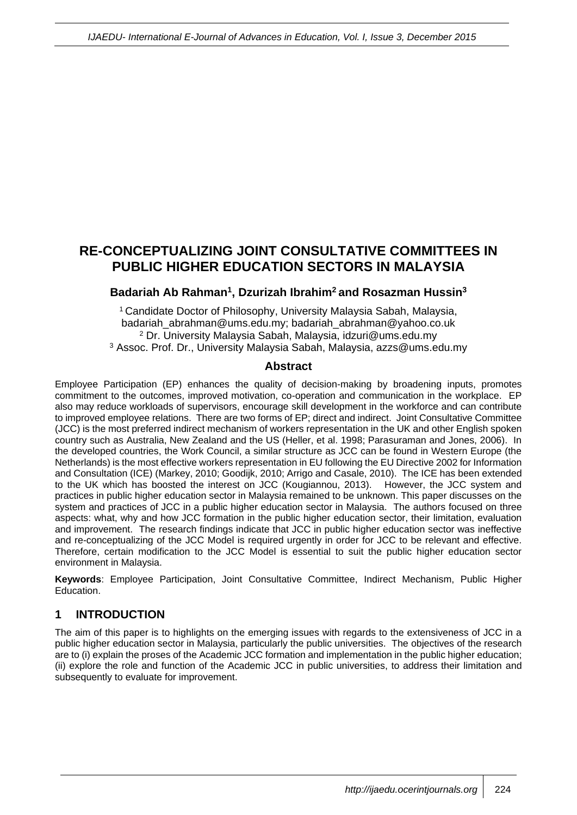# **RE-CONCEPTUALIZING JOINT CONSULTATIVE COMMITTEES IN PUBLIC HIGHER EDUCATION SECTORS IN MALAYSIA**

### **Badariah Ab Rahman<sup>1</sup> , Dzurizah Ibrahim<sup>2</sup>and Rosazman Hussin<sup>3</sup>**

 Candidate Doctor of Philosophy, University Malaysia Sabah, Malaysia, badariah\_abrahman@ums.edu.my; badariah\_abrahman@yahoo.co.uk Dr. University Malaysia Sabah, Malaysia, idzuri@ums.edu.my Assoc. Prof. Dr., University Malaysia Sabah, Malaysia, azzs@ums.edu.my

#### **Abstract**

Employee Participation (EP) enhances the quality of decision-making by broadening inputs, promotes commitment to the outcomes, improved motivation, co-operation and communication in the workplace. EP also may reduce workloads of supervisors, encourage skill development in the workforce and can contribute to improved employee relations. There are two forms of EP; direct and indirect. Joint Consultative Committee (JCC) is the most preferred indirect mechanism of workers representation in the UK and other English spoken country such as Australia, New Zealand and the US (Heller, et al. 1998; Parasuraman and Jones, 2006). In the developed countries, the Work Council, a similar structure as JCC can be found in Western Europe (the Netherlands) is the most effective workers representation in EU following the EU Directive 2002 for Information and Consultation (ICE) (Markey, 2010; Goodijk, 2010; Arrigo and Casale, 2010). The ICE has been extended to the UK which has boosted the interest on JCC (Kougiannou, 2013). However, the JCC system and practices in public higher education sector in Malaysia remained to be unknown. This paper discusses on the system and practices of JCC in a public higher education sector in Malaysia. The authors focused on three aspects: what, why and how JCC formation in the public higher education sector, their limitation, evaluation and improvement. The research findings indicate that JCC in public higher education sector was ineffective and re-conceptualizing of the JCC Model is required urgently in order for JCC to be relevant and effective. Therefore, certain modification to the JCC Model is essential to suit the public higher education sector environment in Malaysia.

**Keywords**: Employee Participation, Joint Consultative Committee, Indirect Mechanism, Public Higher Education.

## **1 INTRODUCTION**

The aim of this paper is to highlights on the emerging issues with regards to the extensiveness of JCC in a public higher education sector in Malaysia, particularly the public universities. The objectives of the research are to (i) explain the proses of the Academic JCC formation and implementation in the public higher education; (ii) explore the role and function of the Academic JCC in public universities, to address their limitation and subsequently to evaluate for improvement.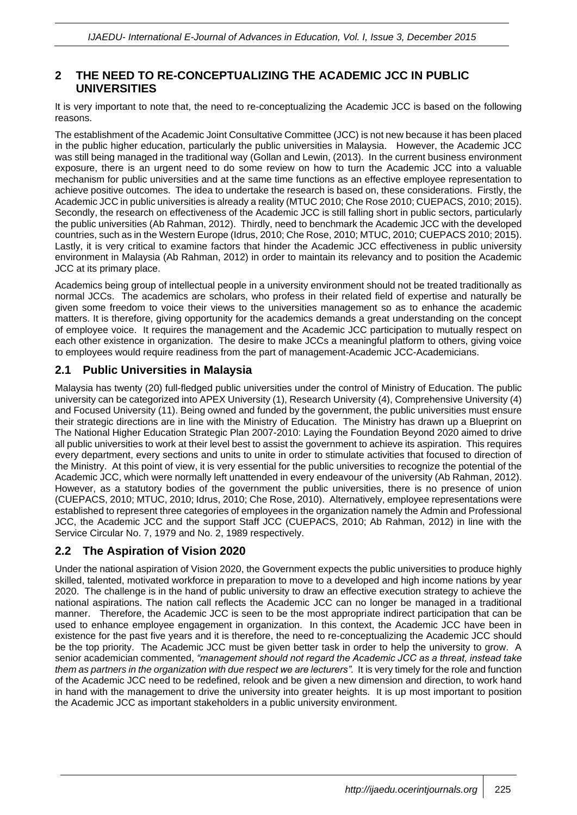### **2 THE NEED TO RE-CONCEPTUALIZING THE ACADEMIC JCC IN PUBLIC UNIVERSITIES**

It is very important to note that, the need to re-conceptualizing the Academic JCC is based on the following reasons.

The establishment of the Academic Joint Consultative Committee (JCC) is not new because it has been placed in the public higher education, particularly the public universities in Malaysia. However, the Academic JCC was still being managed in the traditional way (Gollan and Lewin, (2013). In the current business environment exposure, there is an urgent need to do some review on how to turn the Academic JCC into a valuable mechanism for public universities and at the same time functions as an effective employee representation to achieve positive outcomes. The idea to undertake the research is based on, these considerations. Firstly, the Academic JCC in public universities is already a reality (MTUC 2010; Che Rose 2010; CUEPACS, 2010; 2015). Secondly, the research on effectiveness of the Academic JCC is still falling short in public sectors, particularly the public universities (Ab Rahman, 2012). Thirdly, need to benchmark the Academic JCC with the developed countries, such as in the Western Europe (Idrus, 2010; Che Rose, 2010; MTUC, 2010; CUEPACS 2010; 2015). Lastly, it is very critical to examine factors that hinder the Academic JCC effectiveness in public university environment in Malaysia (Ab Rahman, 2012) in order to maintain its relevancy and to position the Academic JCC at its primary place.

Academics being group of intellectual people in a university environment should not be treated traditionally as normal JCCs. The academics are scholars, who profess in their related field of expertise and naturally be given some freedom to voice their views to the universities management so as to enhance the academic matters. It is therefore, giving opportunity for the academics demands a great understanding on the concept of employee voice. It requires the management and the Academic JCC participation to mutually respect on each other existence in organization. The desire to make JCCs a meaningful platform to others, giving voice to employees would require readiness from the part of management-Academic JCC-Academicians.

### **2.1 Public Universities in Malaysia**

Malaysia has twenty (20) full-fledged public universities under the control of Ministry of Education. The public university can be categorized into APEX University (1), Research University (4), Comprehensive University (4) and Focused University (11). Being owned and funded by the government, the public universities must ensure their strategic directions are in line with the Ministry of Education. The Ministry has drawn up a Blueprint on The National Higher Education Strategic Plan 2007-2010: Laying the Foundation Beyond 2020 aimed to drive all public universities to work at their level best to assist the government to achieve its aspiration. This requires every department, every sections and units to unite in order to stimulate activities that focused to direction of the Ministry. At this point of view, it is very essential for the public universities to recognize the potential of the Academic JCC, which were normally left unattended in every endeavour of the university (Ab Rahman, 2012). However, as a statutory bodies of the government the public universities, there is no presence of union (CUEPACS, 2010; MTUC, 2010; Idrus, 2010; Che Rose, 2010). Alternatively, employee representations were established to represent three categories of employees in the organization namely the Admin and Professional JCC, the Academic JCC and the support Staff JCC (CUEPACS, 2010; Ab Rahman, 2012) in line with the Service Circular No. 7, 1979 and No. 2, 1989 respectively.

### **2.2 The Aspiration of Vision 2020**

Under the national aspiration of Vision 2020, the Government expects the public universities to produce highly skilled, talented, motivated workforce in preparation to move to a developed and high income nations by year 2020. The challenge is in the hand of public university to draw an effective execution strategy to achieve the national aspirations. The nation call reflects the Academic JCC can no longer be managed in a traditional manner. Therefore, the Academic JCC is seen to be the most appropriate indirect participation that can be used to enhance employee engagement in organization. In this context, the Academic JCC have been in existence for the past five years and it is therefore, the need to re-conceptualizing the Academic JCC should be the top priority. The Academic JCC must be given better task in order to help the university to grow. A senior academician commented, *"management should not regard the Academic JCC as a threat, instead take them as partners in the organization with due respect we are lecturers".* It is very timely for the role and function of the Academic JCC need to be redefined, relook and be given a new dimension and direction, to work hand in hand with the management to drive the university into greater heights. It is up most important to position the Academic JCC as important stakeholders in a public university environment.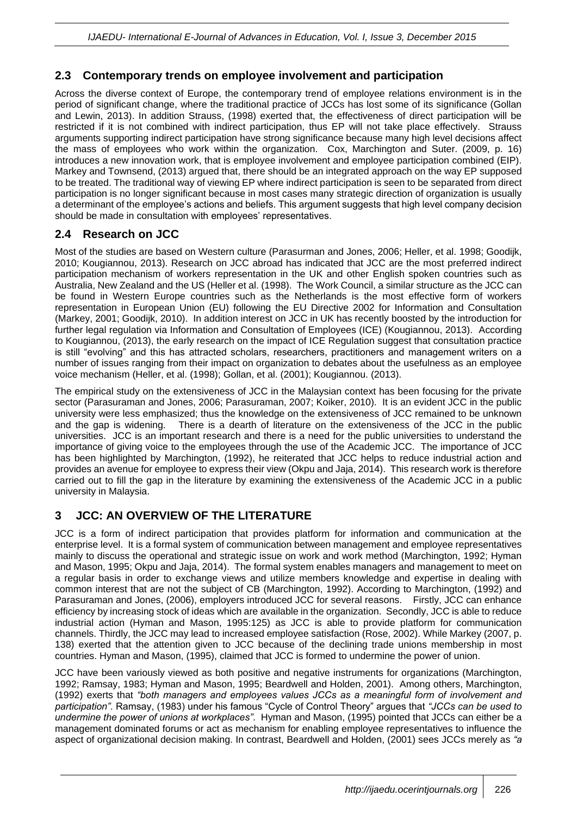### **2.3 Contemporary trends on employee involvement and participation**

Across the diverse context of Europe, the contemporary trend of employee relations environment is in the period of significant change, where the traditional practice of JCCs has lost some of its significance (Gollan and Lewin, 2013). In addition Strauss, (1998) exerted that, the effectiveness of direct participation will be restricted if it is not combined with indirect participation, thus EP will not take place effectively. Strauss arguments supporting indirect participation have strong significance because many high level decisions affect the mass of employees who work within the organization. Cox, Marchington and Suter. (2009, p. 16) introduces a new innovation work, that is employee involvement and employee participation combined (EIP). Markey and Townsend, (2013) argued that, there should be an integrated approach on the way EP supposed to be treated. The traditional way of viewing EP where indirect participation is seen to be separated from direct participation is no longer significant because in most cases many strategic direction of organization is usually a determinant of the employee's actions and beliefs. This argument suggests that high level company decision should be made in consultation with employees' representatives.

### **2.4 Research on JCC**

Most of the studies are based on Western culture (Parasurman and Jones, 2006; Heller, et al. 1998; Goodijk, 2010; Kougiannou, 2013). Research on JCC abroad has indicated that JCC are the most preferred indirect participation mechanism of workers representation in the UK and other English spoken countries such as Australia, New Zealand and the US (Heller et al. (1998). The Work Council, a similar structure as the JCC can be found in Western Europe countries such as the Netherlands is the most effective form of workers representation in European Union (EU) following the EU Directive 2002 for Information and Consultation (Markey, 2001; Goodijk, 2010). In addition interest on JCC in UK has recently boosted by the introduction for further legal regulation via Information and Consultation of Employees (ICE) (Kougiannou, 2013). According to Kougiannou, (2013), the early research on the impact of ICE Regulation suggest that consultation practice is still "evolving" and this has attracted scholars, researchers, practitioners and management writers on a number of issues ranging from their impact on organization to debates about the usefulness as an employee voice mechanism (Heller, et al. (1998); Gollan, et al. (2001); Kougiannou. (2013).

The empirical study on the extensiveness of JCC in the Malaysian context has been focusing for the private sector (Parasuraman and Jones, 2006; Parasuraman, 2007; Koiker, 2010). It is an evident JCC in the public university were less emphasized; thus the knowledge on the extensiveness of JCC remained to be unknown and the gap is widening. There is a dearth of literature on the extensiveness of the JCC in the public universities. JCC is an important research and there is a need for the public universities to understand the importance of giving voice to the employees through the use of the Academic JCC. The importance of JCC has been highlighted by Marchington, (1992), he reiterated that JCC helps to reduce industrial action and provides an avenue for employee to express their view (Okpu and Jaja, 2014). This research work is therefore carried out to fill the gap in the literature by examining the extensiveness of the Academic JCC in a public university in Malaysia.

## **3 JCC: AN OVERVIEW OF THE LITERATURE**

JCC is a form of indirect participation that provides platform for information and communication at the enterprise level. It is a formal system of communication between management and employee representatives mainly to discuss the operational and strategic issue on work and work method (Marchington, 1992; Hyman and Mason, 1995; Okpu and Jaja, 2014). The formal system enables managers and management to meet on a regular basis in order to exchange views and utilize members knowledge and expertise in dealing with common interest that are not the subject of CB (Marchington, 1992). According to Marchington, (1992) and Parasuraman and Jones, (2006), employers introduced JCC for several reasons. Firstly, JCC can enhance efficiency by increasing stock of ideas which are available in the organization. Secondly, JCC is able to reduce industrial action (Hyman and Mason, 1995:125) as JCC is able to provide platform for communication channels. Thirdly, the JCC may lead to increased employee satisfaction (Rose, 2002). While Markey (2007, p. 138) exerted that the attention given to JCC because of the declining trade unions membership in most countries. Hyman and Mason, (1995), claimed that JCC is formed to undermine the power of union.

JCC have been variously viewed as both positive and negative instruments for organizations (Marchington, 1992; Ramsay, 1983; Hyman and Mason, 1995; Beardwell and Holden, 2001). Among others, Marchington, (1992) exerts that *"both managers and employees values JCCs as a meaningful form of involvement and participation"*. Ramsay, (1983) under his famous "Cycle of Control Theory" argues that *"JCCs can be used to undermine the power of unions at workplaces"*. Hyman and Mason, (1995) pointed that JCCs can either be a management dominated forums or act as mechanism for enabling employee representatives to influence the aspect of organizational decision making. In contrast, Beardwell and Holden, (2001) sees JCCs merely as *"a*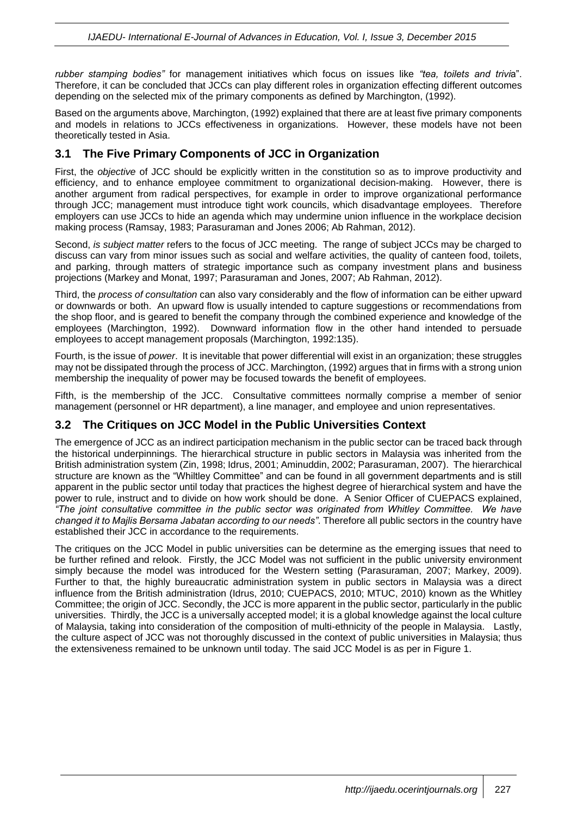*rubber stamping bodies"* for management initiatives which focus on issues like *"tea, toilets and trivi*a". Therefore, it can be concluded that JCCs can play different roles in organization effecting different outcomes depending on the selected mix of the primary components as defined by Marchington, (1992).

Based on the arguments above, Marchington, (1992) explained that there are at least five primary components and models in relations to JCCs effectiveness in organizations. However, these models have not been theoretically tested in Asia.

### **3.1 The Five Primary Components of JCC in Organization**

First, the *objective* of JCC should be explicitly written in the constitution so as to improve productivity and efficiency, and to enhance employee commitment to organizational decision-making. However, there is another argument from radical perspectives, for example in order to improve organizational performance through JCC; management must introduce tight work councils, which disadvantage employees. Therefore employers can use JCCs to hide an agenda which may undermine union influence in the workplace decision making process (Ramsay, 1983; Parasuraman and Jones 2006; Ab Rahman, 2012).

Second, *is subject matter* refers to the focus of JCC meeting. The range of subject JCCs may be charged to discuss can vary from minor issues such as social and welfare activities, the quality of canteen food, toilets, and parking, through matters of strategic importance such as company investment plans and business projections (Markey and Monat, 1997; Parasuraman and Jones, 2007; Ab Rahman, 2012).

Third, the *process of consultation* can also vary considerably and the flow of information can be either upward or downwards or both. An upward flow is usually intended to capture suggestions or recommendations from the shop floor, and is geared to benefit the company through the combined experience and knowledge of the employees (Marchington, 1992). Downward information flow in the other hand intended to persuade employees to accept management proposals (Marchington, 1992:135).

Fourth, is the issue of *power*. It is inevitable that power differential will exist in an organization; these struggles may not be dissipated through the process of JCC. Marchington, (1992) argues that in firms with a strong union membership the inequality of power may be focused towards the benefit of employees.

Fifth, is the membership of the JCC. Consultative committees normally comprise a member of senior management (personnel or HR department), a line manager, and employee and union representatives.

### **3.2 The Critiques on JCC Model in the Public Universities Context**

The emergence of JCC as an indirect participation mechanism in the public sector can be traced back through the historical underpinnings. The hierarchical structure in public sectors in Malaysia was inherited from the British administration system (Zin, 1998; Idrus, 2001; Aminuddin, 2002; Parasuraman, 2007). The hierarchical structure are known as the "Whiltley Committee" and can be found in all government departments and is still apparent in the public sector until today that practices the highest degree of hierarchical system and have the power to rule, instruct and to divide on how work should be done. A Senior Officer of CUEPACS explained, *"The joint consultative committee in the public sector was originated from Whitley Committee. We have changed it to Majlis Bersama Jabatan according to our needs"*. Therefore all public sectors in the country have established their JCC in accordance to the requirements.

The critiques on the JCC Model in public universities can be determine as the emerging issues that need to be further refined and relook. Firstly, the JCC Model was not sufficient in the public university environment simply because the model was introduced for the Western setting (Parasuraman, 2007; Markey, 2009). Further to that, the highly bureaucratic administration system in public sectors in Malaysia was a direct influence from the British administration (Idrus, 2010; CUEPACS, 2010; MTUC, 2010) known as the Whitley Committee; the origin of JCC. Secondly, the JCC is more apparent in the public sector, particularly in the public universities. Thirdly, the JCC is a universally accepted model; it is a global knowledge against the local culture of Malaysia, taking into consideration of the composition of multi-ethnicity of the people in Malaysia. Lastly, the culture aspect of JCC was not thoroughly discussed in the context of public universities in Malaysia; thus the extensiveness remained to be unknown until today. The said JCC Model is as per in Figure 1.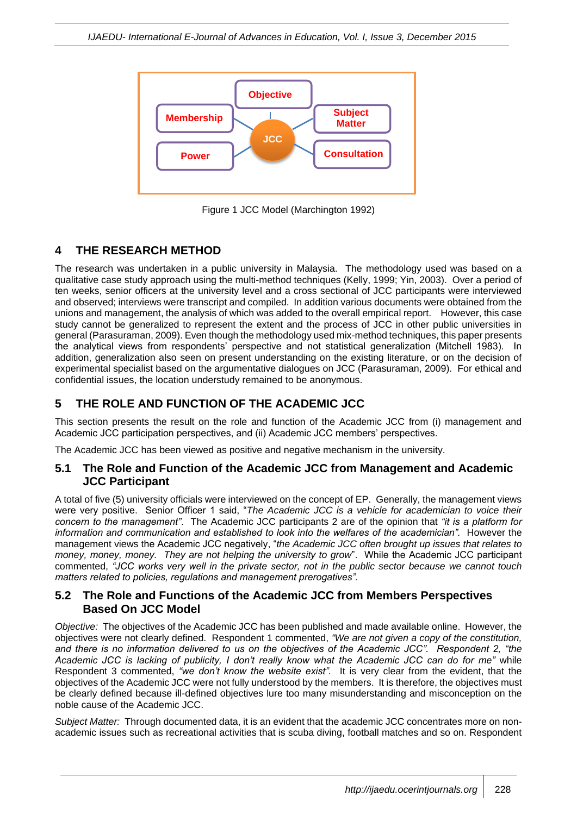

Figure 1 JCC Model (Marchington 1992)

# **4 THE RESEARCH METHOD**

The research was undertaken in a public university in Malaysia. The methodology used was based on a qualitative case study approach using the multi-method techniques (Kelly, 1999; Yin, 2003). Over a period of ten weeks, senior officers at the university level and a cross sectional of JCC participants were interviewed and observed; interviews were transcript and compiled. In addition various documents were obtained from the unions and management, the analysis of which was added to the overall empirical report. However, this case study cannot be generalized to represent the extent and the process of JCC in other public universities in general (Parasuraman, 2009). Even though the methodology used mix-method techniques, this paper presents the analytical views from respondents' perspective and not statistical generalization (Mitchell 1983). In addition, generalization also seen on present understanding on the existing literature, or on the decision of experimental specialist based on the argumentative dialogues on JCC (Parasuraman, 2009). For ethical and confidential issues, the location understudy remained to be anonymous.

# **5 THE ROLE AND FUNCTION OF THE ACADEMIC JCC**

This section presents the result on the role and function of the Academic JCC from (i) management and Academic JCC participation perspectives, and (ii) Academic JCC members' perspectives.

The Academic JCC has been viewed as positive and negative mechanism in the university.

#### **5.1 The Role and Function of the Academic JCC from Management and Academic JCC Participant**

A total of five (5) university officials were interviewed on the concept of EP. Generally, the management views were very positive. Senior Officer 1 said, "*The Academic JCC is a vehicle for academician to voice their concern to the management"*. The Academic JCC participants 2 are of the opinion that *"it is a platform for information and communication and established to look into the welfares of the academician".* However the management views the Academic JCC negatively, "*the Academic JCC often brought up issues that relates to money, money, money. They are not helping the university to grow*". While the Academic JCC participant commented, *"JCC works very well in the private sector, not in the public sector because we cannot touch matters related to policies, regulations and management prerogatives".*

#### **5.2 The Role and Functions of the Academic JCC from Members Perspectives Based On JCC Model**

*Objective:* The objectives of the Academic JCC has been published and made available online. However, the objectives were not clearly defined. Respondent 1 commented, *"We are not given a copy of the constitution, and there is no information delivered to us on the objectives of the Academic JCC". Respondent 2, "the Academic JCC is lacking of publicity, I don't really know what the Academic JCC can do for me"* while Respondent 3 commented, *"we don't know the website exist".* It is very clear from the evident, that the objectives of the Academic JCC were not fully understood by the members. It is therefore, the objectives must be clearly defined because ill-defined objectives lure too many misunderstanding and misconception on the noble cause of the Academic JCC.

*Subject Matter:* Through documented data, it is an evident that the academic JCC concentrates more on nonacademic issues such as recreational activities that is scuba diving, football matches and so on. Respondent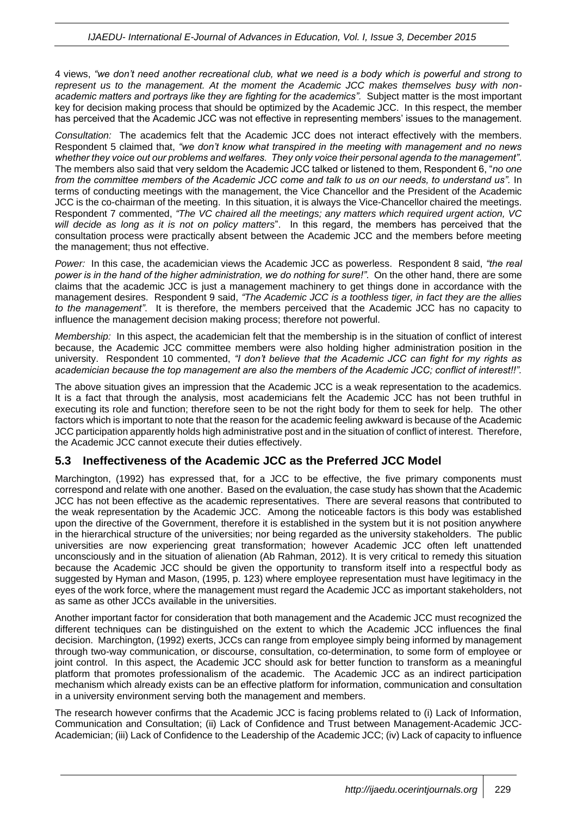4 views, *"we don't need another recreational club, what we need is a body which is powerful and strong to represent us to the management. At the moment the Academic JCC makes themselves busy with nonacademic matters and portrays like they are fighting for the academics".* Subject matter is the most important key for decision making process that should be optimized by the Academic JCC. In this respect, the member has perceived that the Academic JCC was not effective in representing members' issues to the management.

*Consultation:* The academics felt that the Academic JCC does not interact effectively with the members. Respondent 5 claimed that, *"we don't know what transpired in the meeting with management and no news whether they voice out our problems and welfares. They only voice their personal agenda to the management"*. The members also said that very seldom the Academic JCC talked or listened to them, Respondent 6, "*no one from the committee members of the Academic JCC come and talk to us on our needs, to understand us".* In terms of conducting meetings with the management, the Vice Chancellor and the President of the Academic JCC is the co-chairman of the meeting. In this situation, it is always the Vice-Chancellor chaired the meetings. Respondent 7 commented, *"The VC chaired all the meetings; any matters which required urgent action, VC will decide as long as it is not on policy matters*". In this regard, the members has perceived that the consultation process were practically absent between the Academic JCC and the members before meeting the management; thus not effective.

*Power:* In this case, the academician views the Academic JCC as powerless. Respondent 8 said, *"the real power is in the hand of the higher administration, we do nothing for sure!"*. On the other hand, there are some claims that the academic JCC is just a management machinery to get things done in accordance with the management desires. Respondent 9 said, *"The Academic JCC is a toothless tiger, in fact they are the allies to the management"*. It is therefore, the members perceived that the Academic JCC has no capacity to influence the management decision making process; therefore not powerful.

*Membership:* In this aspect, the academician felt that the membership is in the situation of conflict of interest because, the Academic JCC committee members were also holding higher administration position in the university. Respondent 10 commented, *"I don't believe that the Academic JCC can fight for my rights as academician because the top management are also the members of the Academic JCC; conflict of interest!!".*

The above situation gives an impression that the Academic JCC is a weak representation to the academics. It is a fact that through the analysis, most academicians felt the Academic JCC has not been truthful in executing its role and function; therefore seen to be not the right body for them to seek for help. The other factors which is important to note that the reason for the academic feeling awkward is because of the Academic JCC participation apparently holds high administrative post and in the situation of conflict of interest. Therefore, the Academic JCC cannot execute their duties effectively.

### **5.3 Ineffectiveness of the Academic JCC as the Preferred JCC Model**

Marchington, (1992) has expressed that, for a JCC to be effective, the five primary components must correspond and relate with one another. Based on the evaluation, the case study has shown that the Academic JCC has not been effective as the academic representatives. There are several reasons that contributed to the weak representation by the Academic JCC. Among the noticeable factors is this body was established upon the directive of the Government, therefore it is established in the system but it is not position anywhere in the hierarchical structure of the universities; nor being regarded as the university stakeholders. The public universities are now experiencing great transformation; however Academic JCC often left unattended unconsciously and in the situation of alienation (Ab Rahman, 2012). It is very critical to remedy this situation because the Academic JCC should be given the opportunity to transform itself into a respectful body as suggested by Hyman and Mason, (1995, p. 123) where employee representation must have legitimacy in the eyes of the work force, where the management must regard the Academic JCC as important stakeholders, not as same as other JCCs available in the universities.

Another important factor for consideration that both management and the Academic JCC must recognized the different techniques can be distinguished on the extent to which the Academic JCC influences the final decision. Marchington, (1992) exerts, JCCs can range from employee simply being informed by management through two-way communication, or discourse, consultation, co-determination, to some form of employee or joint control. In this aspect, the Academic JCC should ask for better function to transform as a meaningful platform that promotes professionalism of the academic. The Academic JCC as an indirect participation mechanism which already exists can be an effective platform for information, communication and consultation in a university environment serving both the management and members.

The research however confirms that the Academic JCC is facing problems related to (i) Lack of Information, Communication and Consultation; (ii) Lack of Confidence and Trust between Management-Academic JCC-Academician; (iii) Lack of Confidence to the Leadership of the Academic JCC; (iv) Lack of capacity to influence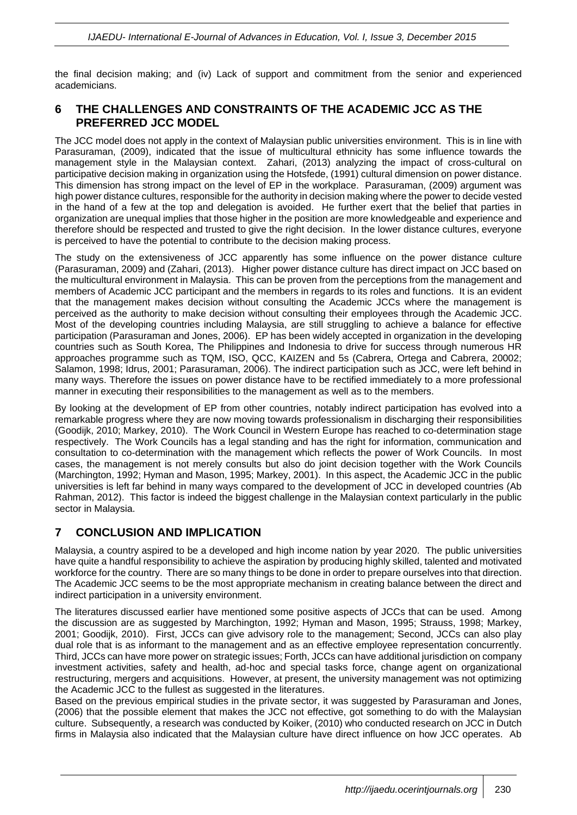the final decision making; and (iv) Lack of support and commitment from the senior and experienced academicians.

### **6 THE CHALLENGES AND CONSTRAINTS OF THE ACADEMIC JCC AS THE PREFERRED JCC MODEL**

The JCC model does not apply in the context of Malaysian public universities environment. This is in line with Parasuraman, (2009), indicated that the issue of multicultural ethnicity has some influence towards the management style in the Malaysian context. Zahari, (2013) analyzing the impact of cross-cultural on participative decision making in organization using the Hotsfede, (1991) cultural dimension on power distance. This dimension has strong impact on the level of EP in the workplace. Parasuraman, (2009) argument was high power distance cultures, responsible for the authority in decision making where the power to decide vested in the hand of a few at the top and delegation is avoided. He further exert that the belief that parties in organization are unequal implies that those higher in the position are more knowledgeable and experience and therefore should be respected and trusted to give the right decision. In the lower distance cultures, everyone is perceived to have the potential to contribute to the decision making process.

The study on the extensiveness of JCC apparently has some influence on the power distance culture (Parasuraman, 2009) and (Zahari, (2013). Higher power distance culture has direct impact on JCC based on the multicultural environment in Malaysia. This can be proven from the perceptions from the management and members of Academic JCC participant and the members in regards to its roles and functions. It is an evident that the management makes decision without consulting the Academic JCCs where the management is perceived as the authority to make decision without consulting their employees through the Academic JCC. Most of the developing countries including Malaysia, are still struggling to achieve a balance for effective participation (Parasuraman and Jones, 2006). EP has been widely accepted in organization in the developing countries such as South Korea, The Philippines and Indonesia to drive for success through numerous HR approaches programme such as TQM, ISO, QCC, KAIZEN and 5s (Cabrera, Ortega and Cabrera, 20002; Salamon, 1998; Idrus, 2001; Parasuraman, 2006). The indirect participation such as JCC, were left behind in many ways. Therefore the issues on power distance have to be rectified immediately to a more professional manner in executing their responsibilities to the management as well as to the members.

By looking at the development of EP from other countries, notably indirect participation has evolved into a remarkable progress where they are now moving towards professionalism in discharging their responsibilities (Goodijk, 2010; Markey, 2010). The Work Council in Western Europe has reached to co-determination stage respectively. The Work Councils has a legal standing and has the right for information, communication and consultation to co-determination with the management which reflects the power of Work Councils. In most cases, the management is not merely consults but also do joint decision together with the Work Councils (Marchington, 1992; Hyman and Mason, 1995; Markey, 2001). In this aspect, the Academic JCC in the public universities is left far behind in many ways compared to the development of JCC in developed countries (Ab Rahman, 2012). This factor is indeed the biggest challenge in the Malaysian context particularly in the public sector in Malaysia.

## **7 CONCLUSION AND IMPLICATION**

Malaysia, a country aspired to be a developed and high income nation by year 2020. The public universities have quite a handful responsibility to achieve the aspiration by producing highly skilled, talented and motivated workforce for the country. There are so many things to be done in order to prepare ourselves into that direction. The Academic JCC seems to be the most appropriate mechanism in creating balance between the direct and indirect participation in a university environment.

The literatures discussed earlier have mentioned some positive aspects of JCCs that can be used. Among the discussion are as suggested by Marchington, 1992; Hyman and Mason, 1995; Strauss, 1998; Markey, 2001; Goodijk, 2010). First, JCCs can give advisory role to the management; Second, JCCs can also play dual role that is as informant to the management and as an effective employee representation concurrently. Third, JCCs can have more power on strategic issues; Forth, JCCs can have additional jurisdiction on company investment activities, safety and health, ad-hoc and special tasks force, change agent on organizational restructuring, mergers and acquisitions. However, at present, the university management was not optimizing the Academic JCC to the fullest as suggested in the literatures.

Based on the previous empirical studies in the private sector, it was suggested by Parasuraman and Jones, (2006) that the possible element that makes the JCC not effective, got something to do with the Malaysian culture. Subsequently, a research was conducted by Koiker, (2010) who conducted research on JCC in Dutch firms in Malaysia also indicated that the Malaysian culture have direct influence on how JCC operates. Ab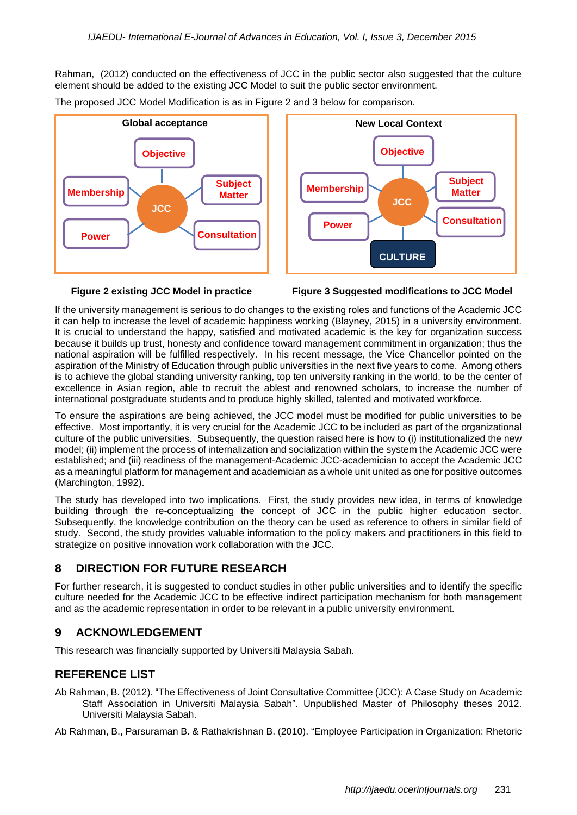Rahman, (2012) conducted on the effectiveness of JCC in the public sector also suggested that the culture element should be added to the existing JCC Model to suit the public sector environment.



**Objective JCC Subject Matter Consultation Membership Power CULTURE**



If the university management is serious to do changes to the existing roles and functions of the Academic JCC it can help to increase the level of academic happiness working (Blayney, 2015) in a university environment. It is crucial to understand the happy, satisfied and motivated academic is the key for organization success because it builds up trust, honesty and confidence toward management commitment in organization; thus the national aspiration will be fulfilled respectively. In his recent message, the Vice Chancellor pointed on the aspiration of the Ministry of Education through public universities in the next five years to come. Among others is to achieve the global standing university ranking, top ten university ranking in the world, to be the center of excellence in Asian region, able to recruit the ablest and renowned scholars, to increase the number of international postgraduate students and to produce highly skilled, talented and motivated workforce.

To ensure the aspirations are being achieved, the JCC model must be modified for public universities to be effective. Most importantly, it is very crucial for the Academic JCC to be included as part of the organizational culture of the public universities. Subsequently, the question raised here is how to (i) institutionalized the new model; (ii) implement the process of internalization and socialization within the system the Academic JCC were established; and (iii) readiness of the management-Academic JCC-academician to accept the Academic JCC as a meaningful platform for management and academician as a whole unit united as one for positive outcomes (Marchington, 1992).

The study has developed into two implications. First, the study provides new idea, in terms of knowledge building through the re-conceptualizing the concept of JCC in the public higher education sector. Subsequently, the knowledge contribution on the theory can be used as reference to others in similar field of study. Second, the study provides valuable information to the policy makers and practitioners in this field to strategize on positive innovation work collaboration with the JCC.

## **8 DIRECTION FOR FUTURE RESEARCH**

For further research, it is suggested to conduct studies in other public universities and to identify the specific culture needed for the Academic JCC to be effective indirect participation mechanism for both management and as the academic representation in order to be relevant in a public university environment.

# **9 ACKNOWLEDGEMENT**

This research was financially supported by Universiti Malaysia Sabah.

# **REFERENCE LIST**

Ab Rahman, B. (2012). "The Effectiveness of Joint Consultative Committee (JCC): A Case Study on Academic Staff Association in Universiti Malaysia Sabah". Unpublished Master of Philosophy theses 2012. Universiti Malaysia Sabah.

Ab Rahman, B., Parsuraman B. & Rathakrishnan B. (2010). "Employee Participation in Organization: Rhetoric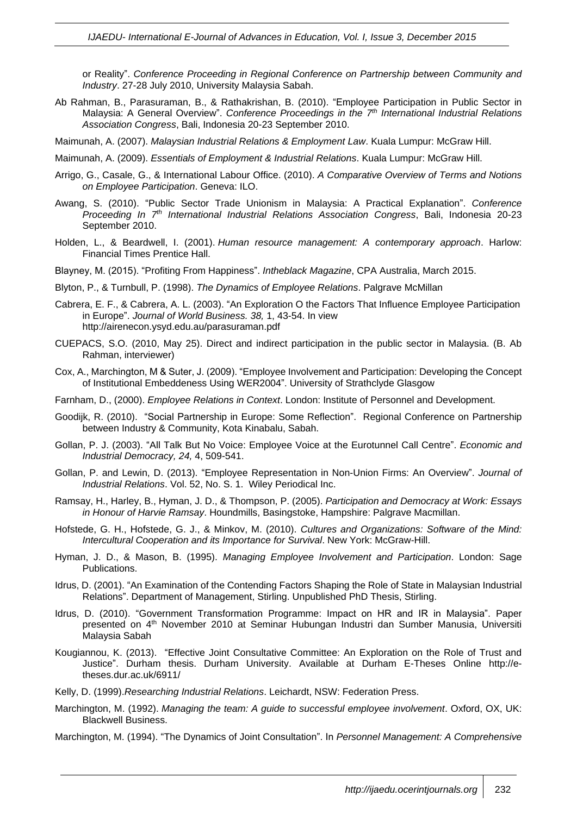or Reality". *Conference Proceeding in Regional Conference on Partnership between Community and Industry*. 27-28 July 2010, University Malaysia Sabah.

- Ab Rahman, B., Parasuraman, B., & Rathakrishan, B. (2010). "Employee Participation in Public Sector in Malaysia: A General Overview". *Conference Proceedings in the 7th International Industrial Relations Association Congress*, Bali, Indonesia 20-23 September 2010.
- Maimunah, A. (2007). *Malaysian Industrial Relations & Employment Law*. Kuala Lumpur: McGraw Hill.
- Maimunah, A. (2009). *Essentials of Employment & Industrial Relations*. Kuala Lumpur: McGraw Hill.
- Arrigo, G., Casale, G., & International Labour Office. (2010). *A Comparative Overview of Terms and Notions on Employee Participation*. Geneva: ILO.
- Awang, S. (2010). "Public Sector Trade Unionism in Malaysia: A Practical Explanation". *Conference Proceeding In 7th International Industrial Relations Association Congress*, Bali, Indonesia 20-23 September 2010.
- Holden, L., & Beardwell, I. (2001). *Human resource management: A contemporary approach*. Harlow: Financial Times Prentice Hall.
- Blayney, M. (2015). "Profiting From Happiness". *Intheblack Magazine*, CPA Australia, March 2015.
- Blyton, P., & Turnbull, P. (1998). *The Dynamics of Employee Relations*. Palgrave McMillan
- Cabrera, E. F., & Cabrera, A. L. (2003). "An Exploration O the Factors That Influence Employee Participation in Europe". *Journal of World Business. 38,* 1, 43-54. In view http://airenecon.ysyd.edu.au/parasuraman.pdf
- CUEPACS, S.O. (2010, May 25). Direct and indirect participation in the public sector in Malaysia. (B. Ab Rahman, interviewer)
- Cox, A., Marchington, M & Suter, J. (2009). "Employee Involvement and Participation: Developing the Concept of Institutional Embeddeness Using WER2004". University of Strathclyde Glasgow
- Farnham, D., (2000). *Employee Relations in Context*. London: Institute of Personnel and Development.
- Goodijk, R. (2010). "Social Partnership in Europe: Some Reflection". Regional Conference on Partnership between Industry & Community, Kota Kinabalu, Sabah.
- Gollan, P. J. (2003). "All Talk But No Voice: Employee Voice at the Eurotunnel Call Centre". *Economic and Industrial Democracy, 24,* 4, 509-541.
- Gollan, P. and Lewin, D. (2013). "Employee Representation in Non-Union Firms: An Overview". *Journal of Industrial Relations*. Vol. 52, No. S. 1. Wiley Periodical Inc.
- Ramsay, H., Harley, B., Hyman, J. D., & Thompson, P. (2005). *Participation and Democracy at Work: Essays in Honour of Harvie Ramsay*. Houndmills, Basingstoke, Hampshire: Palgrave Macmillan.
- Hofstede, G. H., Hofstede, G. J., & Minkov, M. (2010). *Cultures and Organizations: Software of the Mind: Intercultural Cooperation and its Importance for Survival*. New York: McGraw-Hill.
- Hyman, J. D., & Mason, B. (1995). *Managing Employee Involvement and Participation*. London: Sage Publications.
- Idrus, D. (2001). "An Examination of the Contending Factors Shaping the Role of State in Malaysian Industrial Relations". Department of Management, Stirling. Unpublished PhD Thesis, Stirling.
- Idrus, D. (2010). "Government Transformation Programme: Impact on HR and IR in Malaysia". Paper presented on 4th November 2010 at Seminar Hubungan Industri dan Sumber Manusia, Universiti Malaysia Sabah
- Kougiannou, K. (2013). "Effective Joint Consultative Committee: An Exploration on the Role of Trust and Justice". Durham thesis. Durham University. Available at Durham E-Theses Online http://etheses.dur.ac.uk/6911/
- Kelly, D. (1999).*Researching Industrial Relations*. Leichardt, NSW: Federation Press.
- Marchington, M. (1992). *Managing the team: A guide to successful employee involvement*. Oxford, OX, UK: Blackwell Business.
- Marchington, M. (1994). "The Dynamics of Joint Consultation". In *Personnel Management: A Comprehensive*